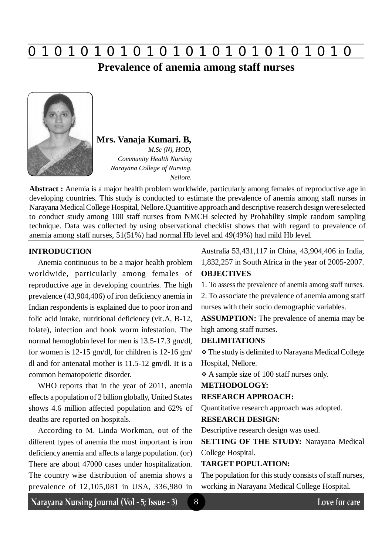**0 z 0 z 0 z 0 z 0 z 0 z 0 z 0 z 0 z 0 z 0 z 0 z 0**

## **Prevalence of anemia among staff nurses**



**Mrs. Vanaja Kumari. B***, M.Sc (N), HOD,*

*Community Health Nursing Narayana College of Nursing, Nellore.*

**Abstract :** Anemia is a major health problem worldwide, particularly among females of reproductive age in developing countries. This study is conducted to estimate the prevalence of anemia among staff nurses in Narayana Medical College Hospital, Nellore.Quantitive approach and descriptive reaserch design were selected to conduct study among 100 staff nurses from NMCH selected by Probability simple random sampling technique. Data was collected by using observational checklist shows that with regard to prevalence of anemia among staff nurses, 51(51%) had normal Hb level and 49(49%) had mild Hb level.

## **INTRODUCTION**

Anemia continuous to be a major health problem worldwide, particularly among females of reproductive age in developing countries. The high prevalence (43,904,406) of iron deficiency anemia in Indian respondents is explained due to poor iron and folic acid intake, nutritional deficiency (vit.A, B-12, folate), infection and hook worm infestation. The normal hemoglobin level for men is 13.5-17.3 gm/dl, for women is 12-15 gm/dl, for children is 12-16 gm/ dl and for antenatal mother is 11.5-12 gm/dl. It is a common hematopoietic disorder.

WHO reports that in the year of 2011, anemia effects a population of 2 billion globally, United States shows 4.6 million affected population and 62% of deaths are reported on hospitals.

According to M. Linda Workman, out of the different types of anemia the most important is iron deficiency anemia and affects a large population. (or) There are about 47000 cases under hospitalization. The country wise distribution of anemia shows a prevalence of 12,105,081 in USA, 336,980 in Australia 53,431,117 in China, 43,904,406 in India, 1,832,257 in South Africa in the year of 2005-2007. **OBJECTIVES**

1. To assess the prevalence of anemia among staff nurses.

2. To associate the prevalence of anemia among staff nurses with their socio demographic variables.

**ASSUMPTION:** The prevalence of anemia may be high among staff nurses.

#### **DELIMITATIONS**

 The study is delimited to Narayana Medical College Hospital, Nellore.

A sample size of 100 staff nurses only.

## **METHODOLOGY:**

#### **RESEARCH APPROACH:**

Quantitative research approach was adopted.

### **RESEARCH DESIGN:**

Descriptive research design was used.

**SETTING OF THE STUDY:** Narayana Medical College Hospital.

#### **TARGET POPULATION:**

8

The population for this study consists of staff nurses, working in Narayana Medical College Hospital.

Narayana Nursing Journal (Vol - 5; Issue - 3)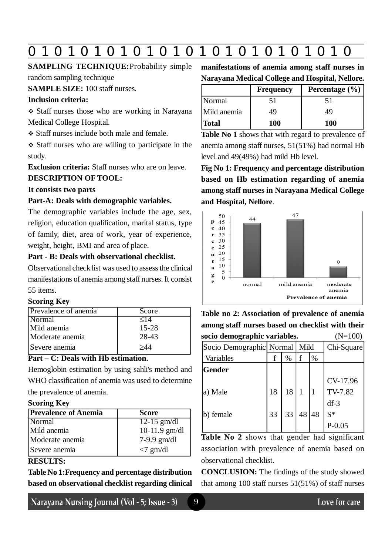# **0 z 0 z 0 z 0 z 0 z 0 z 0 z 0 z 0 z 0 z 0 z 0 z 0**

## **SAMPLING TECHNIQUE:**Probability simple

random sampling technique

**SAMPLE SIZE:** 100 staff nurses.

## **Inclusion criteria:**

 Staff nurses those who are working in Narayana Medical College Hospital.

Staff nurses include both male and female.

 Staff nurses who are willing to participate in the study.

**Exclusion criteria:** Staff nurses who are on leave.

## **DESCRIPTION OF TOOL:**

## **It consists two parts**

## **Part-A: Deals with demographic variables.**

The demographic variables include the age, sex, religion, education qualification, marital status, type of family, diet, area of work, year of experience, weight, height, BMI and area of place.

## **Part - B: Deals with observational checklist.**

Observational check list was used to assess the clinical manifestations of anemia among staff nurses. It consist 55 items.

## **Scoring Key**

| Prevalence of anemia | Score     |
|----------------------|-----------|
| Normal               | $\leq$ 14 |
| Mild anemia          | 15-28     |
| Moderate anemia      | 28-43     |
| Severe anemia        | >44       |

## **Part – C: Deals with Hb estimation.**

Hemoglobin estimation by using sahli's method and WHO classification of anemia was used to determine the prevalence of anemia.

## **Scoring Key**

| <b>Prevalence of Anemia</b> | Score           |
|-----------------------------|-----------------|
| Normal                      | $12-15$ gm/dl   |
| Mild anemia                 | 10-11.9 $gm/dl$ |
| Moderate anemia             | $7-9.9$ gm/dl   |
| Severe anemia               | $<7$ gm/dl      |

## **RESULTS:**

**Table No 1:Frequency and percentage distribution based on observational checklist regarding clinical**

Narayana Nursing Journal (Vol - 5; Issue - 3)

**manifestations of anemia among staff nurses in Narayana Medical College and Hospital, Nellore.**

|              | <b>Frequency</b> | Percentage $(\% )$ |
|--------------|------------------|--------------------|
| Normal       | 51               | 51                 |
| Mild anemia  | 49               | 49                 |
| <b>Total</b> | <b>100</b>       | <b>100</b>         |

**Table No 1** shows that with regard to prevalence of anemia among staff nurses, 51(51%) had normal Hb level and 49(49%) had mild Hb level.

**Fig No 1: Frequency and percentage distribution based on Hb estimation regarding of anemia among staff nurses in Narayana Medical College and Hospital, Nellore**.



**Table no 2: Association of prevalence of anemia among staff nurses based on checklist with their socio demographic variables.** (N=100)

| socio demographic variables. |    |      |              |      | $(11 - 100)$ |
|------------------------------|----|------|--------------|------|--------------|
| Socio Demographic Normal     |    |      | Mild         |      | Chi-Square   |
| Variables                    | f  | $\%$ | f            | $\%$ |              |
| Gender                       |    |      |              |      |              |
|                              |    |      |              |      | CV-17.96     |
| a) Male                      | 18 | 18   | $\mathbf{1}$ |      | TV-7.82      |
|                              |    |      |              |      | $df-3$       |
| b) female                    | 33 | 33   | 48           | 48   | $S^*$        |
|                              |    |      |              |      | $P - 0.05$   |
|                              |    |      |              |      |              |

**Table No 2** shows that gender had significant association with prevalence of anemia based on observational checklist.

**CONCLUSION:** The findings of the study showed that among  $100$  staff nurses  $51(51%)$  of staff nurses

9